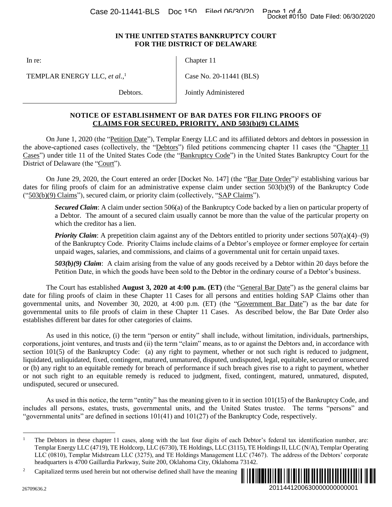## **IN THE UNITED STATES BANKRUPTCY COURT FOR THE DISTRICT OF DELAWARE**

In re:

Chapter 11

TEMPLAR ENERGY LLC, *et al.*, 1

Debtors.

Case No. 20-11441 (BLS)

Jointly Administered

## **NOTICE OF ESTABLISHMENT OF BAR DATES FOR FILING PROOFS OF CLAIMS FOR SECURED, PRIORITY, AND 503(b)(9) CLAIMS**

On June 1, 2020 (the "Petition Date"), Templar Energy LLC and its affiliated debtors and debtors in possession in the above-captioned cases (collectively, the "Debtors") filed petitions commencing chapter 11 cases (the "Chapter 11 Cases") under title 11 of the United States Code (the "Bankruptcy Code") in the United States Bankruptcy Court for the District of Delaware (the "Court").

On June 29, 2020, the Court entered an order [Docket No. 147] (the "Bar Date Order")<sup>2</sup> establishing various bar dates for filing proofs of claim for an administrative expense claim under section 503(b)(9) of the Bankruptcy Code ("503(b)(9) Claims"), secured claim, or priority claim (collectively, "SAP Claims").

*Secured Claim*: A claim under section 506(a) of the Bankruptcy Code backed by a lien on particular property of a Debtor. The amount of a secured claim usually cannot be more than the value of the particular property on which the creditor has a lien.

*Priority Claim*: A prepetition claim against any of the Debtors entitled to priority under sections 507(a)(4)–(9) of the Bankruptcy Code. Priority Claims include claims of a Debtor's employee or former employee for certain unpaid wages, salaries, and commissions, and claims of a governmental unit for certain unpaid taxes.

*503(b)(9) Claim*:A claim arising from the value of any goods received by a Debtor within 20 days before the Petition Date, in which the goods have been sold to the Debtor in the ordinary course of a Debtor's business.

The Court has established **August 3, 2020 at 4:00 p.m. (ET)** (the "General Bar Date") as the general claims bar date for filing proofs of claim in these Chapter 11 Cases for all persons and entities holding SAP Claims other than governmental units, and November 30, 2020, at 4:00 p.m. (ET) (the "Government Bar Date") as the bar date for governmental units to file proofs of claim in these Chapter 11 Cases. As described below, the Bar Date Order also establishes different bar dates for other categories of claims.

As used in this notice, (i) the term "person or entity" shall include, without limitation, individuals, partnerships, corporations, joint ventures, and trusts and (ii) the term "claim" means, as to or against the Debtors and, in accordance with section 101(5) of the Bankruptcy Code: (a) any right to payment, whether or not such right is reduced to judgment, liquidated, unliquidated, fixed, contingent, matured, unmatured, disputed, undisputed, legal, equitable, secured or unsecured or (b) any right to an equitable remedy for breach of performance if such breach gives rise to a right to payment, whether or not such right to an equitable remedy is reduced to judgment, fixed, contingent, matured, unmatured, disputed, undisputed, secured or unsecured. Docket #0150 Date Filed: 06/30/2020<br> **RT**<br> **RT**<br> **RT**<br> **COLAIMS**<br> **COLAIMS**<br> **COLAIMS**<br> **COLAIMS**<br> **COLAIMS**<br> **COLAIMS**<br> **COLAIMS**<br> **COLAIMS**<br> **COLAIMS**<br> **COLAIMS**<br> **COLAIMS**<br> **COLAIMS**<br> **COLAIMS**<br> **COLAIMS**<br> **COLAIMS**<br> **C** 

As used in this notice, the term "entity" has the meaning given to it in section 101(15) of the Bankruptcy Code, and includes all persons, estates, trusts, governmental units, and the United States trustee. The terms "persons" and "governmental units" are defined in sections 101(41) and 101(27) of the Bankruptcy Code, respectively.

<sup>&</sup>lt;sup>2</sup> Capitalized terms used herein but not otherwise defined shall have the meaning



 $\overline{a}$ 

<sup>&</sup>lt;sup>1</sup> The Debtors in these chapter 11 cases, along with the last four digits of each Debtor's federal tax identification number, are: Templar Energy LLC (4719), TE Holdcorp, LLC (6730), TE Holdings, LLC (3115), TE Holdings II, LLC (N/A), Templar Operating LLC (0810), Templar Midstream LLC (3275), and TE Holdings Management LLC (7467). The address of the Debtors' corporate headquarters is 4700 Gaillardia Parkway, Suite 200, Oklahoma City, Oklahoma 73142.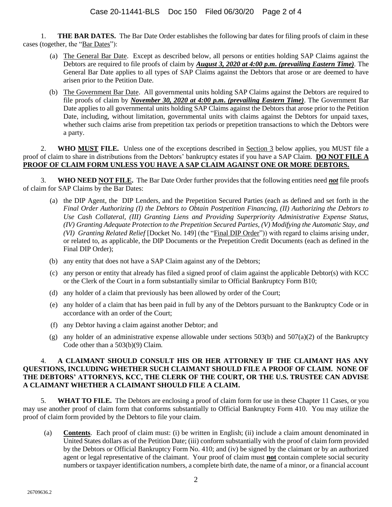1. **THE BAR DATES.** The Bar Date Order establishes the following bar dates for filing proofs of claim in these cases (together, the "Bar Dates"):

- (a) The General Bar Date. Except as described below, all persons or entities holding SAP Claims against the Debtors are required to file proofs of claim by *August 3, 2020 at 4:00 p.m***.** *(prevailing Eastern Time).* The General Bar Date applies to all types of SAP Claims against the Debtors that arose or are deemed to have arisen prior to the Petition Date.
- (b) The Government Bar Date. All governmental units holding SAP Claims against the Debtors are required to file proofs of claim by *November 30, 2020 at 4:00 p.m***.** *(prevailing Eastern Time)*. The Government Bar Date applies to all governmental units holding SAP Claims against the Debtors that arose prior to the Petition Date, including, without limitation, governmental units with claims against the Debtors for unpaid taxes, whether such claims arise from prepetition tax periods or prepetition transactions to which the Debtors were a party.

2. **WHO MUST FILE.** Unless one of the exceptions described in Section 3 below applies, you MUST file a proof of claim to share in distributions from the Debtors' bankruptcy estates if you have a SAP Claim. **DO NOT FILE A PROOF OF CLAIM FORM UNLESS YOU HAVE A SAP CLAIM AGAINST ONE OR MORE DEBTORS.**

3. **WHO NEED NOT FILE.** The Bar Date Order further provides that the following entities need *not* file proofs of claim for SAP Claims by the Bar Dates:

- (a) the DIP Agent, the DIP Lenders, and the Prepetition Secured Parties (each as defined and set forth in the *Final Order Authorizing (I) the Debtors to Obtain Postpetition Financing, (II) Authorizing the Debtors to Use Cash Collateral, (III) Granting Liens and Providing Superpriority Administrative Expense Status, (IV) Granting Adequate Protection to the Prepetition Secured Parties, (V) Modifying the Automatic Stay, and (VI) Granting Related Relief* [Docket No. 149] (the "Final DIP Order")) with regard to claims arising under, or related to, as applicable, the DIP Documents or the Prepetition Credit Documents (each as defined in the Final DIP Order);
- (b) any entity that does not have a SAP Claim against any of the Debtors;
- (c) any person or entity that already has filed a signed proof of claim against the applicable Debtor(s) with KCC or the Clerk of the Court in a form substantially similar to Official Bankruptcy Form B10;
- (d) any holder of a claim that previously has been allowed by order of the Court;
- (e) any holder of a claim that has been paid in full by any of the Debtors pursuant to the Bankruptcy Code or in accordance with an order of the Court;
- (f) any Debtor having a claim against another Debtor; and
- (g) any holder of an administrative expense allowable under sections  $503(b)$  and  $507(a)(2)$  of the Bankruptcy Code other than a 503(b)(9) Claim.

## 4. **A CLAIMANT SHOULD CONSULT HIS OR HER ATTORNEY IF THE CLAIMANT HAS ANY QUESTIONS, INCLUDING WHETHER SUCH CLAIMANT SHOULD FILE A PROOF OF CLAIM. NONE OF THE DEBTORS' ATTORNEYS, KCC, THE CLERK OF THE COURT, OR THE U.S. TRUSTEE CAN ADVISE A CLAIMANT WHETHER A CLAIMANT SHOULD FILE A CLAIM.**

5. **WHAT TO FILE.** The Debtors are enclosing a proof of claim form for use in these Chapter 11 Cases, or you may use another proof of claim form that conforms substantially to Official Bankruptcy Form 410. You may utilize the proof of claim form provided by the Debtors to file your claim.

(a) **Contents**. Each proof of claim must: (i) be written in English; (ii) include a claim amount denominated in United States dollars as of the Petition Date; (iii) conform substantially with the proof of claim form provided by the Debtors or Official Bankruptcy Form No. 410; and (iv) be signed by the claimant or by an authorized agent or legal representative of the claimant. Your proof of claim must **not** contain complete social security numbers or taxpayer identification numbers, a complete birth date, the name of a minor, or a financial account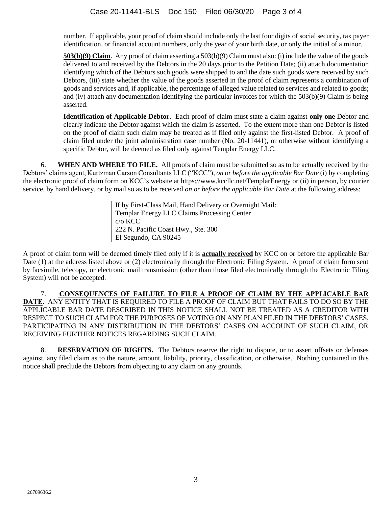number. If applicable, your proof of claim should include only the last four digits of social security, tax payer identification, or financial account numbers, only the year of your birth date, or only the initial of a minor.

**503(b)(9) Claim**. Any proof of claim asserting a 503(b)(9) Claim must also: (i) include the value of the goods delivered to and received by the Debtors in the 20 days prior to the Petition Date; (ii) attach documentation identifying which of the Debtors such goods were shipped to and the date such goods were received by such Debtors, (iii) state whether the value of the goods asserted in the proof of claim represents a combination of goods and services and, if applicable, the percentage of alleged value related to services and related to goods; and (iv) attach any documentation identifying the particular invoices for which the 503(b)(9) Claim is being asserted.

**Identification of Applicable Debtor**. Each proof of claim must state a claim against **only one** Debtor and clearly indicate the Debtor against which the claim is asserted. To the extent more than one Debtor is listed on the proof of claim such claim may be treated as if filed only against the first-listed Debtor. A proof of claim filed under the joint administration case number (No. 20-11441), or otherwise without identifying a specific Debtor, will be deemed as filed only against Templar Energy LLC.

6. **WHEN AND WHERE TO FILE.** All proofs of claim must be submitted so as to be actually received by the Debtors' claims agent, Kurtzman Carson Consultants LLC ("KCC"), *on or before the applicable Bar Date* (i) by completing the electronic proof of claim form on KCC's website at https://www.kccllc.net/TemplarEnergy or (ii) in person, by courier service, by hand delivery, or by mail so as to be received *on or before the applicable Bar Date* at the following address:

> If by First-Class Mail, Hand Delivery or Overnight Mail: Templar Energy LLC Claims Processing Center c/o KCC 222 N. Pacific Coast Hwy., Ste. 300 El Segundo, CA 90245

A proof of claim form will be deemed timely filed only if it is **actually received** by KCC on or before the applicable Bar Date (1) at the address listed above or (2) electronically through the Electronic Filing System. A proof of claim form sent by facsimile, telecopy, or electronic mail transmission (other than those filed electronically through the Electronic Filing System) will not be accepted.

7. **CONSEQUENCES OF FAILURE TO FILE A PROOF OF CLAIM BY THE APPLICABLE BAR DATE.** ANY ENTITY THAT IS REQUIRED TO FILE A PROOF OF CLAIM BUT THAT FAILS TO DO SO BY THE APPLICABLE BAR DATE DESCRIBED IN THIS NOTICE SHALL NOT BE TREATED AS A CREDITOR WITH RESPECT TO SUCH CLAIM FOR THE PURPOSES OF VOTING ON ANY PLAN FILED IN THE DEBTORS' CASES, PARTICIPATING IN ANY DISTRIBUTION IN THE DEBTORS' CASES ON ACCOUNT OF SUCH CLAIM, OR RECEIVING FURTHER NOTICES REGARDING SUCH CLAIM.

8. **RESERVATION OF RIGHTS.** The Debtors reserve the right to dispute, or to assert offsets or defenses against, any filed claim as to the nature, amount, liability, priority, classification, or otherwise. Nothing contained in this notice shall preclude the Debtors from objecting to any claim on any grounds.